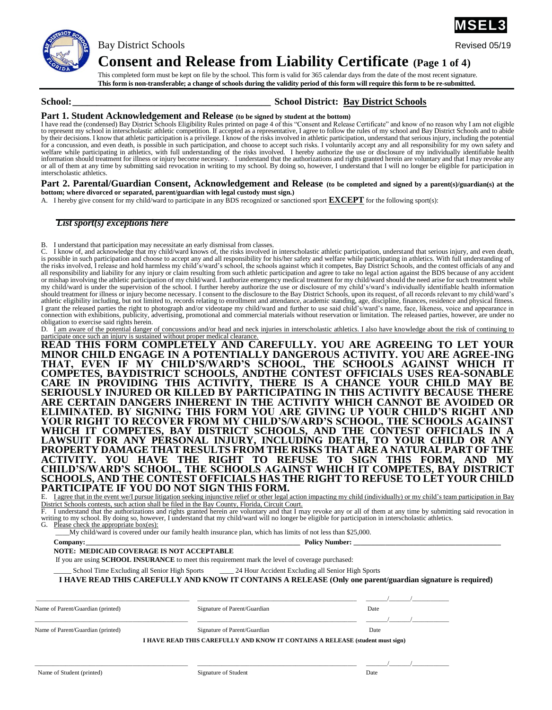

Bay District Schools **Revised 05/19** 

**Consent and Release from Liability Certificate (Page 1 of 4)**

This completed form must be kept on file by the school. This form is valid for 365 calendar days from the date of the most recent signature. **This form is non-transferable; a change of schools during the validity period of this form will require this form to be re-submitted.**

## **School:\_\_\_\_\_\_\_\_\_\_\_\_\_\_\_\_\_\_\_\_\_\_\_\_\_\_\_\_\_\_\_\_\_\_\_\_\_\_\_\_\_ School District: Bay District Schools**

## **Part 1. Student Acknowledgement and Release (to be signed by student at the bottom)**

I have read the (condensed) Bay District Schools Eligibility Rules printed on page 4 of this "Consent and Release Certificate" and know of no reason why I am not eligible to represent my school in interscholastic athletic competition. If accepted as a representative, I agree to follow the rules of my school and Bay District Schools and to abide<br>by their decisions. I know that athletic parti welfare while participating in athletics, with full understanding of the risks involved. I hereby authorize the use or disclosure of my individually identifiable health<br>information should treatment for illness or injury be or all of them at any time by submitting said revocation in writing to my school. By doing so, however, I understand that I will no longer be eligible for participation in interscholastic athletics.

#### **Part 2. Parental/Guardian Consent, Acknowledgement and Release (to be completed and signed by a parent(s)/guardian(s) at the bottom; where divorced or separated, parent/guardian with legal custody must sign.)**

A. I hereby give consent for my child/ward to participate in any BDS recognized or sanctioned sport **EXCEPT** for the following sport(s):

## *List sport(s) exceptions here*

B. I understand that participation may necessitate an early dismissal from classes.

C. I know of, and acknowledge that my child/ward knows of, the risks involved in interscholastic athletic participation, understand that serious injury, and even death, is possible in such participation and choose to accept any and all responsibility for his/her safety and welfare while participating in athletics. With full understanding of is possible in such participation and choose to the risks involved, I release and hold harmless my child's/ward's school, the schools against which it competes, Bay District Schools, and the contest officials of any and all responsibility and liability for any injury or claim resulting from such athletic participation and agree to take no legal action against the BDS because of any accident or mishap involving the athletic participation of my child/ward. I authorize emergency medical treatment for my child/ward should the need arise for such treatment while my child/ward is under the supervision of the school. I further hereby authorize the use or disclosure of my child's/ward's individually identifiable health information should treatment for illness or injury become necessary. I consent to the disclosure to the Bay District Schools, upon its request, of all records relevant to my child/ward's athletic eligibility including, but not limited to, records relating to enrollment and attendance, academic standing, age, discipline, finances, residence and physical fitness. I grant the released parties the right to photograph and/or videotape my child/ward and further to use said child's/ward's name, face, likeness, voice and appearance in connection with exhibitions, publicity, advertising, promotional and commercial materials without reservation or limitation. The released parties, however, are under no obligation to exercise said rights herein.

D. I am aware of the potential danger of concussions and/or head and neck injuries in interscholastic athletics. I also have knowledge about the risk of continuing to participate once such an injury is sustained without pr

**READ THIS FORM COMPLETELY AND CAREFULLY. YOU ARE AGREEING TO LET YOUR MINOR CHILD ENGAGE IN A POTENTIALLY DANGEROUS ACTIVITY. YOU ARE AGREE-ING THAT, EVEN IF MY CHILD'S/WARD'S SCHOOL, THE SCHOOLS AGAINST WHICH IT COMPETES, BAYDISTRICT SCHOOLS, ANDTHE CONTEST OFFICIALS USES REA-SONABLE CARE IN PROVIDING THIS ACTIVITY, THERE IS A CHANCE YOUR CHILD MAY BE SERIOUSLY INJURED OR KILLED BY PARTICIPATING IN THIS ACTIVITY BECAUSE THERE ARE CERTAIN DANGERS INHERENT IN THE ACTIVITY WHICH CANNOT BE AVOIDED OR ELIMINATED. BY SIGNING THIS FORM YOU ARE GIVING UP YOUR CHILD'S RIGHT AND YOUR RIGHT TO RECOVER FROM MY CHILD'S/WARD'S SCHOOL, THE SCHOOLS AGAINST WHICH IT COMPETES, BAY DISTRICT SCHOOLS, AND THE CONTEST OFFICIALS IN A LAWSUIT FOR ANY PERSONAL INJURY, INCLUDING DEATH, TO YOUR CHILD OR ANY PROPERTY DAMAGE THAT RESULTS FROM THE RISKS THAT ARE A NATURAL PART OF THE ACTIVITY. YOU HAVE THE RIGHT TO REFUSE TO SIGN THIS FORM, AND MY CHILD'S/WARD'S SCHOOL, THE SCHOOLS AGAINST WHICH IT COMPETES, BAY DISTRICT SCHOOLS, AND THE CONTEST OFFICIALS HAS THE RIGHT TO REFUSE TO LET YOUR CHILD PARTICIPATE IF YOU DO NOT SIGN THIS FORM.**

E. I agree that in the event we/I pursue litigation seeking injunctive relief or other legal action impacting my child (individually) or my child's team participation in Bay District Schools contests, such action shall be filed in the Bay County, Florida, Circuit Court.

F. I understand that the authorizations and rights granted herein are voluntary and that I may revoke any or all of them at any time by submitting said revocation in writing to my school. By doing so, however, I understand that my child/ward will no longer be eligible for participation in interscholastic athletics.

G. Please check the appropriate box(es):

\_\_\_\_My child/ward is covered under our family health insurance plan, which has limits of not less than \$25,000.

## **Company:\_\_\_\_\_\_\_\_\_\_\_\_\_\_\_\_\_\_\_\_\_\_\_\_\_\_\_\_\_\_\_\_\_\_\_\_\_\_\_\_\_\_\_\_\_\_\_\_\_\_\_\_\_\_\_\_\_\_\_\_ Policy Number: \_\_\_\_\_\_\_\_\_\_\_\_\_\_\_\_\_\_\_\_\_\_\_\_\_\_\_\_\_\_\_\_\_\_\_\_\_\_\_\_\_\_**

**NOTE: MEDICAID COVERAGE IS NOT ACCEPTABLE**

If you are using **SCHOOL INSURANCE** to meet this requirement mark the level of coverage purchased:

School Time Excluding all Senior High Sports \_\_\_\_\_ 24 Hour Accident Excluding all Senior High Sports

**I HAVE READ THIS CAREFULLY AND KNOW IT CONTAINS A RELEASE (Only one parent/guardian signature is required)**

Name of Parent/Guardian (printed) Signature of Parent/Guardian Date

\_\_\_\_\_\_\_\_\_\_\_\_\_\_\_\_\_\_\_\_\_\_\_\_\_\_\_\_\_\_\_\_\_\_\_\_\_\_\_\_\_\_\_\_\_\_\_\_\_\_ \_\_\_\_\_\_\_\_\_\_\_\_\_\_\_\_\_\_\_\_\_\_\_\_\_\_\_\_\_\_\_\_\_\_\_\_\_\_\_\_\_\_\_\_\_\_\_\_\_\_\_\_ \_\_\_\_\_\_\_/\_\_\_\_\_\_\_/\_\_\_\_\_\_\_\_\_\_\_\_

\_\_\_\_\_\_\_\_\_\_\_\_\_\_\_\_\_\_\_\_\_\_\_\_\_\_\_\_\_\_\_\_\_\_\_\_\_\_\_\_\_\_\_\_\_\_\_\_\_\_ \_\_\_\_\_\_\_\_\_\_\_\_\_\_\_\_\_\_\_\_\_\_\_\_\_\_\_\_\_\_\_\_\_\_\_\_\_\_\_\_\_\_\_\_\_\_\_\_\_\_\_\_ \_\_\_\_\_\_\_/\_\_\_\_\_\_\_/\_\_\_\_\_\_\_\_\_\_\_\_

\_\_\_\_\_\_\_\_\_\_\_\_\_\_\_\_\_\_\_\_\_\_\_\_\_\_\_\_\_\_\_\_\_\_\_\_\_\_\_\_\_\_\_\_\_\_\_\_\_\_ \_\_\_\_\_\_\_\_\_\_\_\_\_\_\_\_\_\_\_\_\_\_\_\_\_\_\_\_\_\_\_\_\_\_\_\_\_\_\_\_\_\_\_\_\_\_\_\_\_\_\_\_ \_\_\_\_\_\_\_/\_\_\_\_\_\_\_/\_\_\_\_\_\_\_\_\_\_\_\_

Name of Parent/Guardian (printed) Signature of Parent/Guardian Date

**I HAVE READ THIS CAREFULLY AND KNOW IT CONTAINS A RELEASE (student must sign)**

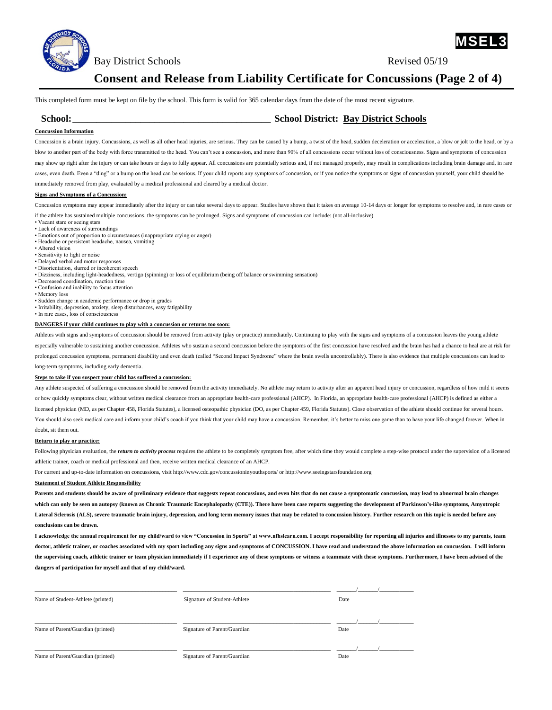

Bay District Schools Revised 05/19

**MSEL3**

## **Consent and Release from Liability Certificate for Concussions (Page 2 of 4)**

This completed form must be kept on file by the school. This form is valid for 365 calendar days from the date of the most recent signature.

## **School:\_\_\_\_\_\_\_\_\_\_\_\_\_\_\_\_\_\_\_\_\_\_\_\_\_\_\_\_\_\_\_\_\_\_\_\_\_\_\_\_\_ School District: Bay District Schools**

### **Concussion Information**

Concussion is a brain injury. Concussions, as well as all other head injuries, are serious. They can be caused by a bump, a twist of the head, sudden deceleration or acceleration, a blow or jolt to the head, or by a blow to another part of the body with force transmitted to the head. You can't see a concussion, and more than 90% of all concussions occur without loss of consciousness. Signs and symptoms of concussion may show up right after the injury or can take hours or days to fully appear. All concussions are potentially serious and, if not managed properly, may result in complications including brain damage and, in rare cases, even death. Even a "ding" or a bump on the head can be serious. If your child reports any symptoms of concussion, or if you notice the symptoms or signs of concussion yourself, your child should be immediately removed from play, evaluated by a medical professional and cleared by a medical doctor.

#### **Signs and Symptoms of a Concussion:**

Concussion symptoms may appear immediately after the injury or can take several days to appear. Studies have shown that it takes on average 10-14 days or longer for symptoms to resolve and, in rare cases or if the athlete has sustained multiple concussions, the symptoms can be prolonged. Signs and symptoms of concussion can include: (not all-inclusive)

- Vacant stare or seeing stars
- Lack of awareness of surroundings
- Emotions out of proportion to circumstances (inappropriate crying or anger)
- Headache or persistent headache, nausea, vomiting
- Altered vision
- Sensitivity to light or noise
- Delayed verbal and motor responses
- Disorientation, slurred or incoherent speech

• Dizziness, including light-headedness, vertigo (spinning) or loss of equilibrium (being off balance or swimming sensation)

- Decreased coordination, reaction time • Confusion and inability to focus attention
- Memory loss
- Sudden change in academic performance or drop in grades
- Irritability, depression, anxiety, sleep disturbances, easy fatigability
- In rare cases, loss of consciousness

#### **DANGERS if your child continues to play with a concussion or returns too soon:**

Athletes with signs and symptoms of concussion should be removed from activity (play or practice) immediately. Continuing to play with the signs and symptoms of a concussion leaves the young athlete especially vulnerable to sustaining another concussion. Athletes who sustain a second concussion before the symptoms of the first concussion have resolved and the brain has had a chance to heal are at risk for prolonged concussion symptoms, permanent disability and even death (called "Second Impact Syndrome" where the brain swells uncontrollably). There is also evidence that multiple concussions can lead to long-term symptoms, including early dementia.

#### **Steps to take if you suspect your child has suffered a concussion:**

Any athlete suspected of suffering a concussion should be removed from the activity immediately. No athlete may return to activity after an apparent head injury or concussion, regardless of how mild it seems or how quickly symptoms clear, without written medical clearance from an appropriate health-care professional (AHCP). In Florida, an appropriate health-care professional (AHCP) is defined as either a licensed physician (MD, as per Chapter 458, Florida Statutes), a licensed osteopathic physician (DO, as per Chapter 459, Florida Statutes). Close observation of the athlete should continue for several hours. You should also seek medical care and inform your child's coach if you think that your child may have a concussion. Remember, it's better to miss one game than to have your life changed forever. When in doubt, sit them out.

#### **Return to play or practice:**

Following physician evaluation, the *return to activity process* requires the athlete to be completely symptom free, after which time they would complete a step-wise protocol under the supervision of a licensed athletic trainer, coach or medical professional and then, receive written medical clearance of an AHCP.

For current and up-to-date information on concussions, visit http://www.cdc.gov/concussioninyouthsports/ or http://www.seeingstarsfoundation.org

#### **Statement of Student Athlete Responsibility**

**Parents and students should be aware of preliminary evidence that suggests repeat concussions, and even hits that do not cause a symptomatic concussion, may lead to abnormal brain changes which can only be seen on autopsy (known as Chronic Traumatic Encephalopathy (CTE)). There have been case reports suggesting the development of Parkinson's-like symptoms, Amyotropic Lateral Sclerosis (ALS), severe traumatic brain injury, depression, and long term memory issues that may be related to concussion history. Further research on this topic is needed before any conclusions can be drawn.** 

**I acknowledge the annual requirement for my child/ward to view "Concussion in Sports" at www.nfhslearn.com. I accept responsibility for reporting all injuries and illnesses to my parents, team doctor, athletic trainer, or coaches associated with my sport including any signs and symptoms of CONCUSSION. I have read and understand the above information on concussion. I will inform**  the supervising coach, athletic trainer or team physician immediately if I experience any of these symptoms or witness a teammate with these symptoms. Furthermore, I have been advised of the **dangers of participation for myself and that of my child/ward.**

| Name of Student-Athlete (printed) | Signature of Student-Athlete | Date |
|-----------------------------------|------------------------------|------|
| Name of Parent/Guardian (printed) | Signature of Parent/Guardian | Date |
| Name of Parent/Guardian (printed) | Signature of Parent/Guardian | Date |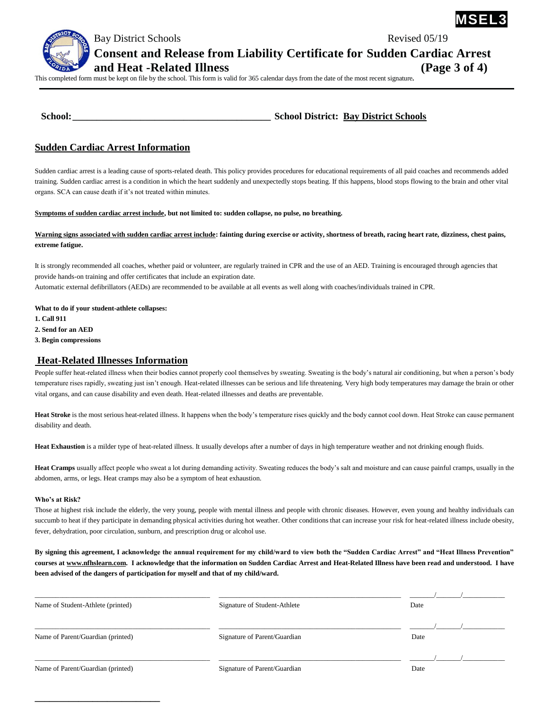

Bay District Schools **Revised 05/19** 

**Consent and Release from Liability Certificate for Sudden Cardiac Arrest** 

**and Heat -Related Illness (Page 3 of 4)** 

This completed form must be kept on file by the school. This form is valid for 365 calendar days from the date of the most recent signature**.** 

| <b>School:</b> | <b>School District: Bay District Schools</b> |
|----------------|----------------------------------------------|
|                |                                              |

## **Sudden Cardiac Arrest Information**

Sudden cardiac arrest is a leading cause of sports-related death. This policy provides procedures for educational requirements of all paid coaches and recommends added training. Sudden cardiac arrest is a condition in which the heart suddenly and unexpectedly stops beating. If this happens, blood stops flowing to the brain and other vital organs. SCA can cause death if it's not treated within minutes.

## **Symptoms of sudden cardiac arrest include, but not limited to: sudden collapse, no pulse, no breathing.**

## Warning signs associated with sudden cardiac arrest include: fainting during exercise or activity, shortness of breath, racing heart rate, dizziness, chest pains, **extreme fatigue.**

It is strongly recommended all coaches, whether paid or volunteer, are regularly trained in CPR and the use of an AED. Training is encouraged through agencies that provide hands-on training and offer certificates that include an expiration date. Automatic external defibrillators (AEDs) are recommended to be available at all events as well along with coaches/individuals trained in CPR.

**What to do if your student-athlete collapses:**

**\_\_\_\_\_\_\_\_\_\_\_\_\_\_\_\_\_\_\_\_\_\_\_\_\_\_**

**1. Call 911 2. Send for an AED**

**3. Begin compressions**

## **Heat-Related Illnesses Information**

People suffer heat-related illness when their bodies cannot properly cool themselves by sweating. Sweating is the body's natural air conditioning, but when a person's body temperature rises rapidly, sweating just isn't enough. Heat-related illnesses can be serious and life threatening. Very high body temperatures may damage the brain or other vital organs, and can cause disability and even death. Heat-related illnesses and deaths are preventable.

**Heat Stroke** is the most serious heat-related illness. It happens when the body's temperature rises quickly and the body cannot cool down. Heat Stroke can cause permanent disability and death.

**Heat Exhaustion** is a milder type of heat-related illness. It usually develops after a number of days in high temperature weather and not drinking enough fluids.

**Heat Cramps** usually affect people who sweat a lot during demanding activity. Sweating reduces the body's salt and moisture and can cause painful cramps, usually in the abdomen, arms, or legs. Heat cramps may also be a symptom of heat exhaustion.

### **Who's at Risk?**

Those at highest risk include the elderly, the very young, people with mental illness and people with chronic diseases. However, even young and healthy individuals can succumb to heat if they participate in demanding physical activities during hot weather. Other conditions that can increase your risk for heat-related illness include obesity, fever, dehydration, poor circulation, sunburn, and prescription drug or alcohol use.

**By signing this agreement, I acknowledge the annual requirement for my child/ward to view both the "Sudden Cardiac Arrest" and "Heat Illness Prevention" courses at [www.nfhslearn.com.](http://www.nfhslearn.com/) I acknowledge that the information on Sudden Cardiac Arrest and Heat-Related Illness have been read and understood. I have been advised of the dangers of participation for myself and that of my child/ward.**

| Name of Student-Athlete (printed) | Signature of Student-Athlete | Date |  |
|-----------------------------------|------------------------------|------|--|
| Name of Parent/Guardian (printed) | Signature of Parent/Guardian | Date |  |
| Name of Parent/Guardian (printed) | Signature of Parent/Guardian | Date |  |